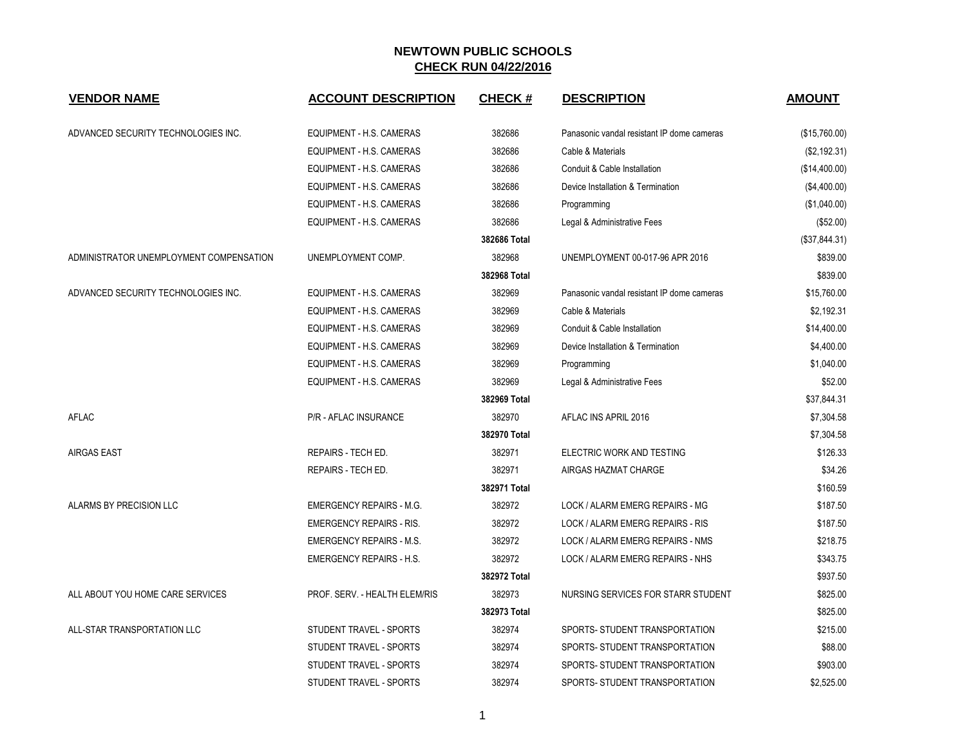| <b>VENDOR NAME</b>                      | <b>ACCOUNT DESCRIPTION</b>      | <b>CHECK#</b> | <b>DESCRIPTION</b>                         | <b>AMOUNT</b> |
|-----------------------------------------|---------------------------------|---------------|--------------------------------------------|---------------|
| ADVANCED SECURITY TECHNOLOGIES INC.     | EQUIPMENT - H.S. CAMERAS        | 382686        | Panasonic vandal resistant IP dome cameras | (\$15,760.00) |
|                                         | EQUIPMENT - H.S. CAMERAS        | 382686        | Cable & Materials                          | (\$2,192.31)  |
|                                         | EQUIPMENT - H.S. CAMERAS        | 382686        | Conduit & Cable Installation               | (\$14,400.00) |
|                                         | EQUIPMENT - H.S. CAMERAS        | 382686        | Device Installation & Termination          | (\$4,400.00)  |
|                                         | EQUIPMENT - H.S. CAMERAS        | 382686        | Programming                                | (\$1,040.00)  |
|                                         | EQUIPMENT - H.S. CAMERAS        | 382686        | Legal & Administrative Fees                | (\$52.00)     |
|                                         |                                 | 382686 Total  |                                            | (\$37,844.31) |
| ADMINISTRATOR UNEMPLOYMENT COMPENSATION | UNEMPLOYMENT COMP.              | 382968        | UNEMPLOYMENT 00-017-96 APR 2016            | \$839.00      |
|                                         |                                 | 382968 Total  |                                            | \$839.00      |
| ADVANCED SECURITY TECHNOLOGIES INC.     | EQUIPMENT - H.S. CAMERAS        | 382969        | Panasonic vandal resistant IP dome cameras | \$15,760.00   |
|                                         | EQUIPMENT - H.S. CAMERAS        | 382969        | Cable & Materials                          | \$2,192.31    |
|                                         | EQUIPMENT - H.S. CAMERAS        | 382969        | Conduit & Cable Installation               | \$14,400.00   |
|                                         | EQUIPMENT - H.S. CAMERAS        | 382969        | Device Installation & Termination          | \$4,400.00    |
|                                         | EQUIPMENT - H.S. CAMERAS        | 382969        | Programming                                | \$1,040.00    |
|                                         | EQUIPMENT - H.S. CAMERAS        | 382969        | Legal & Administrative Fees                | \$52.00       |
|                                         |                                 | 382969 Total  |                                            | \$37,844.31   |
| <b>AFLAC</b>                            | <b>P/R - AFLAC INSURANCE</b>    | 382970        | AFLAC INS APRIL 2016                       | \$7,304.58    |
|                                         |                                 | 382970 Total  |                                            | \$7,304.58    |
| <b>AIRGAS EAST</b>                      | REPAIRS - TECH ED.              | 382971        | ELECTRIC WORK AND TESTING                  | \$126.33      |
|                                         | REPAIRS - TECH ED.              | 382971        | AIRGAS HAZMAT CHARGE                       | \$34.26       |
|                                         |                                 | 382971 Total  |                                            | \$160.59      |
| ALARMS BY PRECISION LLC                 | <b>EMERGENCY REPAIRS - M.G.</b> | 382972        | LOCK / ALARM EMERG REPAIRS - MG            | \$187.50      |
|                                         | <b>EMERGENCY REPAIRS - RIS.</b> | 382972        | LOCK / ALARM EMERG REPAIRS - RIS           | \$187.50      |
|                                         | <b>EMERGENCY REPAIRS - M.S.</b> | 382972        | LOCK / ALARM EMERG REPAIRS - NMS           | \$218.75      |
|                                         | <b>EMERGENCY REPAIRS - H.S.</b> | 382972        | LOCK / ALARM EMERG REPAIRS - NHS           | \$343.75      |
|                                         |                                 | 382972 Total  |                                            | \$937.50      |
| ALL ABOUT YOU HOME CARE SERVICES        | PROF. SERV. - HEALTH ELEM/RIS   | 382973        | NURSING SERVICES FOR STARR STUDENT         | \$825.00      |
|                                         |                                 | 382973 Total  |                                            | \$825.00      |
| ALL-STAR TRANSPORTATION LLC             | STUDENT TRAVEL - SPORTS         | 382974        | SPORTS- STUDENT TRANSPORTATION             | \$215.00      |
|                                         | STUDENT TRAVEL - SPORTS         | 382974        | SPORTS- STUDENT TRANSPORTATION             | \$88.00       |
|                                         | STUDENT TRAVEL - SPORTS         | 382974        | SPORTS- STUDENT TRANSPORTATION             | \$903.00      |
|                                         | STUDENT TRAVEL - SPORTS         | 382974        | SPORTS- STUDENT TRANSPORTATION             | \$2,525.00    |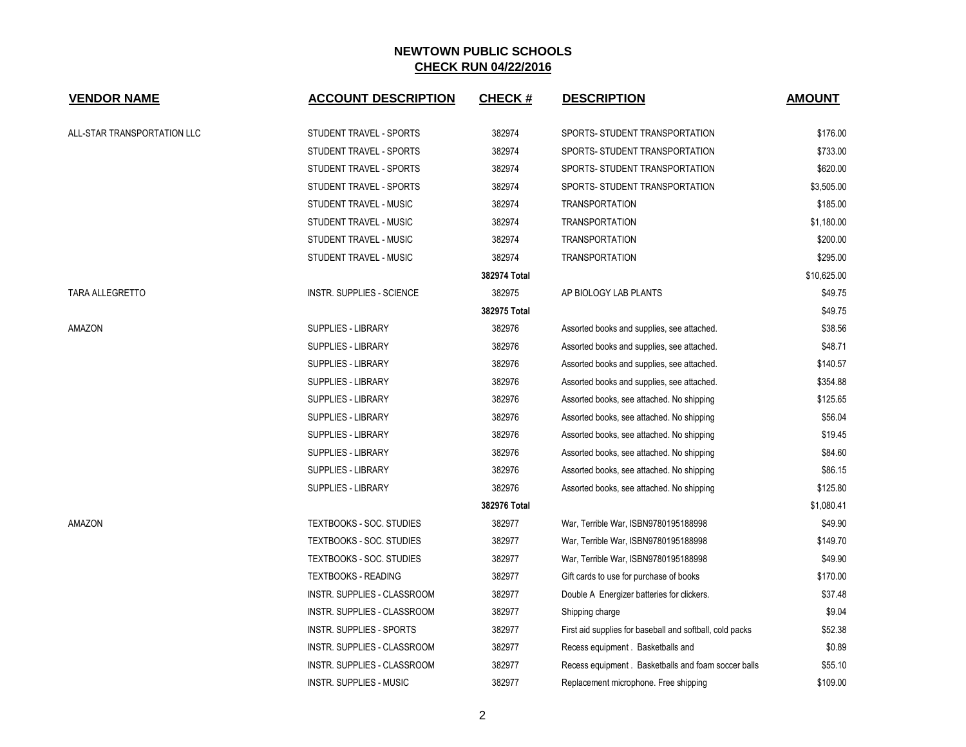| <b>VENDOR NAME</b>          | <b>ACCOUNT DESCRIPTION</b>       | <b>CHECK#</b> | <b>DESCRIPTION</b>                                       | <b>AMOUNT</b> |
|-----------------------------|----------------------------------|---------------|----------------------------------------------------------|---------------|
| ALL-STAR TRANSPORTATION LLC | STUDENT TRAVEL - SPORTS          | 382974        | SPORTS- STUDENT TRANSPORTATION                           | \$176.00      |
|                             | STUDENT TRAVEL - SPORTS          | 382974        | SPORTS- STUDENT TRANSPORTATION                           | \$733.00      |
|                             | STUDENT TRAVEL - SPORTS          | 382974        | SPORTS- STUDENT TRANSPORTATION                           | \$620.00      |
|                             | STUDENT TRAVEL - SPORTS          | 382974        | SPORTS- STUDENT TRANSPORTATION                           | \$3,505.00    |
|                             | STUDENT TRAVEL - MUSIC           | 382974        | <b>TRANSPORTATION</b>                                    | \$185.00      |
|                             | STUDENT TRAVEL - MUSIC           | 382974        | <b>TRANSPORTATION</b>                                    | \$1,180.00    |
|                             | STUDENT TRAVEL - MUSIC           | 382974        | <b>TRANSPORTATION</b>                                    | \$200.00      |
|                             | STUDENT TRAVEL - MUSIC           | 382974        | <b>TRANSPORTATION</b>                                    | \$295.00      |
|                             |                                  | 382974 Total  |                                                          | \$10,625.00   |
| <b>TARA ALLEGRETTO</b>      | <b>INSTR. SUPPLIES - SCIENCE</b> | 382975        | AP BIOLOGY LAB PLANTS                                    | \$49.75       |
|                             |                                  | 382975 Total  |                                                          | \$49.75       |
| AMAZON                      | SUPPLIES - LIBRARY               | 382976        | Assorted books and supplies, see attached.               | \$38.56       |
|                             | <b>SUPPLIES - LIBRARY</b>        | 382976        | Assorted books and supplies, see attached.               | \$48.71       |
|                             | <b>SUPPLIES - LIBRARY</b>        | 382976        | Assorted books and supplies, see attached.               | \$140.57      |
|                             | SUPPLIES - LIBRARY               | 382976        | Assorted books and supplies, see attached.               | \$354.88      |
|                             | <b>SUPPLIES - LIBRARY</b>        | 382976        | Assorted books, see attached. No shipping                | \$125.65      |
|                             | <b>SUPPLIES - LIBRARY</b>        | 382976        | Assorted books, see attached. No shipping                | \$56.04       |
|                             | SUPPLIES - LIBRARY               | 382976        | Assorted books, see attached. No shipping                | \$19.45       |
|                             | SUPPLIES - LIBRARY               | 382976        | Assorted books, see attached. No shipping                | \$84.60       |
|                             | SUPPLIES - LIBRARY               | 382976        | Assorted books, see attached. No shipping                | \$86.15       |
|                             | SUPPLIES - LIBRARY               | 382976        | Assorted books, see attached. No shipping                | \$125.80      |
|                             |                                  | 382976 Total  |                                                          | \$1,080.41    |
| AMAZON                      | <b>TEXTBOOKS - SOC. STUDIES</b>  | 382977        | War, Terrible War, ISBN9780195188998                     | \$49.90       |
|                             | TEXTBOOKS - SOC. STUDIES         | 382977        | War, Terrible War, ISBN9780195188998                     | \$149.70      |
|                             | TEXTBOOKS - SOC. STUDIES         | 382977        | War, Terrible War, ISBN9780195188998                     | \$49.90       |
|                             | <b>TEXTBOOKS - READING</b>       | 382977        | Gift cards to use for purchase of books                  | \$170.00      |
|                             | INSTR. SUPPLIES - CLASSROOM      | 382977        | Double A Energizer batteries for clickers.               | \$37.48       |
|                             | INSTR. SUPPLIES - CLASSROOM      | 382977        | Shipping charge                                          | \$9.04        |
|                             | INSTR. SUPPLIES - SPORTS         | 382977        | First aid supplies for baseball and softball, cold packs | \$52.38       |
|                             | INSTR. SUPPLIES - CLASSROOM      | 382977        | Recess equipment . Basketballs and                       | \$0.89        |
|                             | INSTR. SUPPLIES - CLASSROOM      | 382977        | Recess equipment . Basketballs and foam soccer balls     | \$55.10       |
|                             | <b>INSTR. SUPPLIES - MUSIC</b>   | 382977        | Replacement microphone. Free shipping                    | \$109.00      |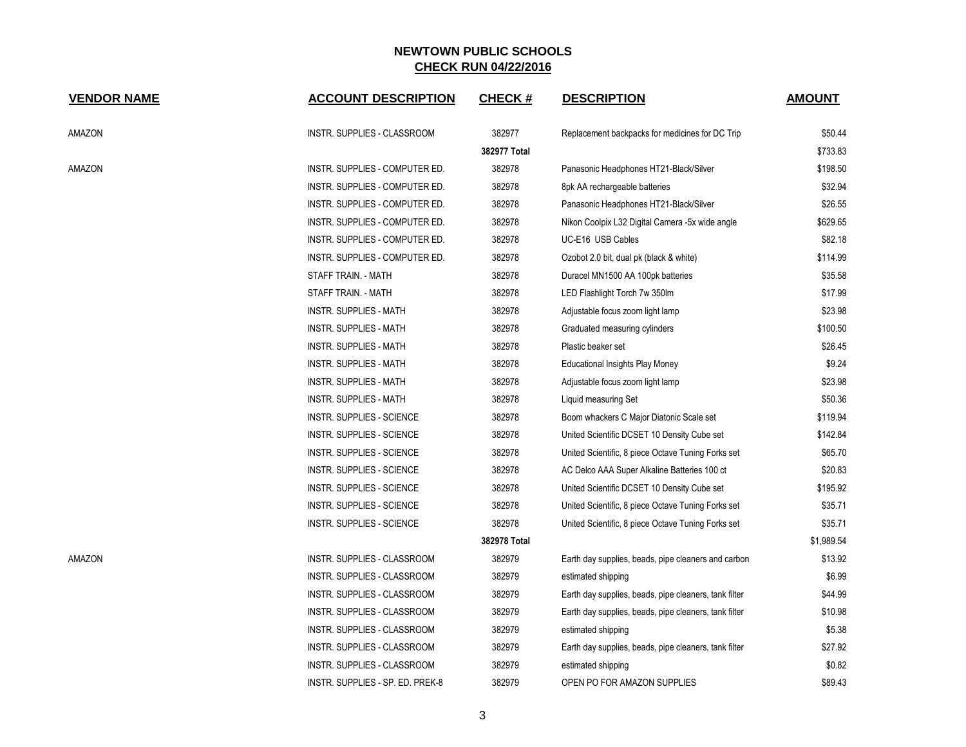| <b>VENDOR NAME</b> | <b>ACCOUNT DESCRIPTION</b>       | <b>CHECK#</b> | <b>DESCRIPTION</b>                                    | <b>AMOUNT</b> |
|--------------------|----------------------------------|---------------|-------------------------------------------------------|---------------|
| AMAZON             | INSTR. SUPPLIES - CLASSROOM      | 382977        | Replacement backpacks for medicines for DC Trip       | \$50.44       |
|                    |                                  | 382977 Total  |                                                       | \$733.83      |
| AMAZON             | INSTR. SUPPLIES - COMPUTER ED.   | 382978        | Panasonic Headphones HT21-Black/Silver                | \$198.50      |
|                    | INSTR. SUPPLIES - COMPUTER ED.   | 382978        | 8pk AA rechargeable batteries                         | \$32.94       |
|                    | INSTR. SUPPLIES - COMPUTER ED.   | 382978        | Panasonic Headphones HT21-Black/Silver                | \$26.55       |
|                    | INSTR. SUPPLIES - COMPUTER ED.   | 382978        | Nikon Coolpix L32 Digital Camera -5x wide angle       | \$629.65      |
|                    | INSTR. SUPPLIES - COMPUTER ED.   | 382978        | UC-E16 USB Cables                                     | \$82.18       |
|                    | INSTR. SUPPLIES - COMPUTER ED.   | 382978        | Ozobot 2.0 bit, dual pk (black & white)               | \$114.99      |
|                    | STAFF TRAIN. - MATH              | 382978        | Duracel MN1500 AA 100pk batteries                     | \$35.58       |
|                    | STAFF TRAIN. - MATH              | 382978        | LED Flashlight Torch 7w 350lm                         | \$17.99       |
|                    | INSTR. SUPPLIES - MATH           | 382978        | Adjustable focus zoom light lamp                      | \$23.98       |
|                    | <b>INSTR. SUPPLIES - MATH</b>    | 382978        | Graduated measuring cylinders                         | \$100.50      |
|                    | INSTR. SUPPLIES - MATH           | 382978        | Plastic beaker set                                    | \$26.45       |
|                    | <b>INSTR. SUPPLIES - MATH</b>    | 382978        | Educational Insights Play Money                       | \$9.24        |
|                    | INSTR. SUPPLIES - MATH           | 382978        | Adjustable focus zoom light lamp                      | \$23.98       |
|                    | <b>INSTR. SUPPLIES - MATH</b>    | 382978        | Liquid measuring Set                                  | \$50.36       |
|                    | INSTR. SUPPLIES - SCIENCE        | 382978        | Boom whackers C Major Diatonic Scale set              | \$119.94      |
|                    | INSTR. SUPPLIES - SCIENCE        | 382978        | United Scientific DCSET 10 Density Cube set           | \$142.84      |
|                    | INSTR. SUPPLIES - SCIENCE        | 382978        | United Scientific, 8 piece Octave Tuning Forks set    | \$65.70       |
|                    | INSTR. SUPPLIES - SCIENCE        | 382978        | AC Delco AAA Super Alkaline Batteries 100 ct          | \$20.83       |
|                    | INSTR. SUPPLIES - SCIENCE        | 382978        | United Scientific DCSET 10 Density Cube set           | \$195.92      |
|                    | INSTR. SUPPLIES - SCIENCE        | 382978        | United Scientific, 8 piece Octave Tuning Forks set    | \$35.71       |
|                    | <b>INSTR. SUPPLIES - SCIENCE</b> | 382978        | United Scientific, 8 piece Octave Tuning Forks set    | \$35.71       |
|                    |                                  | 382978 Total  |                                                       | \$1,989.54    |
| AMAZON             | INSTR. SUPPLIES - CLASSROOM      | 382979        | Earth day supplies, beads, pipe cleaners and carbon   | \$13.92       |
|                    | INSTR. SUPPLIES - CLASSROOM      | 382979        | estimated shipping                                    | \$6.99        |
|                    | INSTR. SUPPLIES - CLASSROOM      | 382979        | Earth day supplies, beads, pipe cleaners, tank filter | \$44.99       |
|                    | INSTR. SUPPLIES - CLASSROOM      | 382979        | Earth day supplies, beads, pipe cleaners, tank filter | \$10.98       |
|                    | INSTR. SUPPLIES - CLASSROOM      | 382979        | estimated shipping                                    | \$5.38        |
|                    | INSTR. SUPPLIES - CLASSROOM      | 382979        | Earth day supplies, beads, pipe cleaners, tank filter | \$27.92       |
|                    | INSTR. SUPPLIES - CLASSROOM      | 382979        | estimated shipping                                    | \$0.82        |
|                    | INSTR. SUPPLIES - SP. ED. PREK-8 | 382979        | OPEN PO FOR AMAZON SUPPLIES                           | \$89.43       |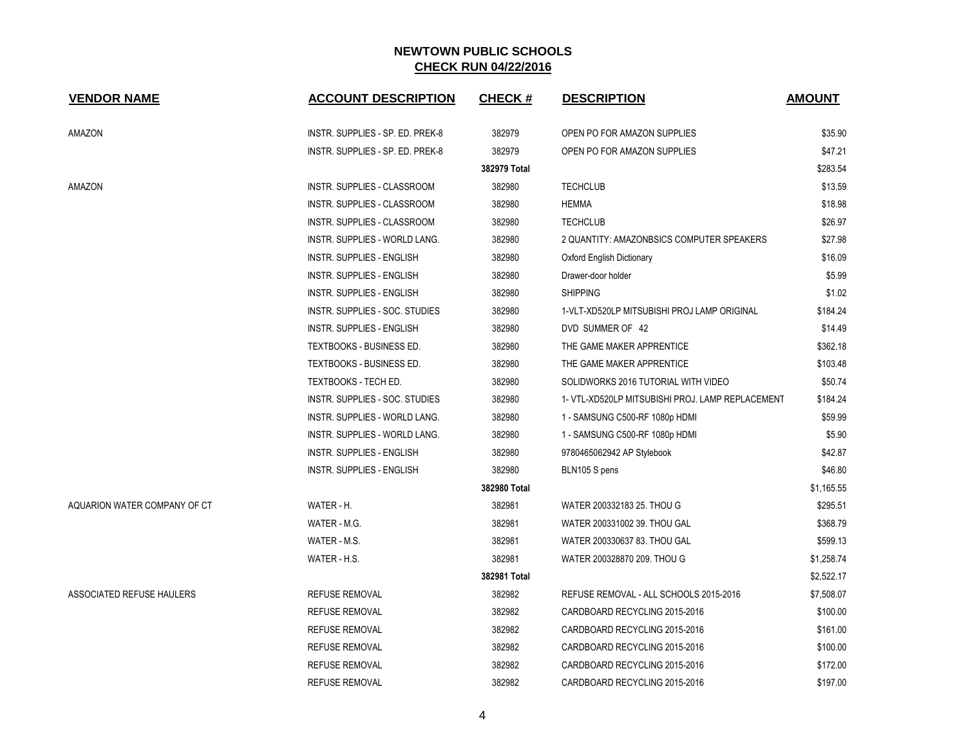| <b>VENDOR NAME</b>           | <b>ACCOUNT DESCRIPTION</b>       | <b>CHECK#</b> | <b>DESCRIPTION</b>                               | <b>AMOUNT</b> |
|------------------------------|----------------------------------|---------------|--------------------------------------------------|---------------|
| AMAZON                       | INSTR. SUPPLIES - SP. ED. PREK-8 | 382979        | OPEN PO FOR AMAZON SUPPLIES                      | \$35.90       |
|                              | INSTR. SUPPLIES - SP. ED. PREK-8 | 382979        | OPEN PO FOR AMAZON SUPPLIES                      | \$47.21       |
|                              |                                  | 382979 Total  |                                                  | \$283.54      |
| AMAZON                       | INSTR. SUPPLIES - CLASSROOM      | 382980        | <b>TECHCLUB</b>                                  | \$13.59       |
|                              | INSTR. SUPPLIES - CLASSROOM      | 382980        | <b>HEMMA</b>                                     | \$18.98       |
|                              | INSTR. SUPPLIES - CLASSROOM      | 382980        | <b>TECHCLUB</b>                                  | \$26.97       |
|                              | INSTR. SUPPLIES - WORLD LANG.    | 382980        | 2 QUANTITY: AMAZONBSICS COMPUTER SPEAKERS        | \$27.98       |
|                              | <b>INSTR. SUPPLIES - ENGLISH</b> | 382980        | Oxford English Dictionary                        | \$16.09       |
|                              | <b>INSTR. SUPPLIES - ENGLISH</b> | 382980        | Drawer-door holder                               | \$5.99        |
|                              | <b>INSTR. SUPPLIES - ENGLISH</b> | 382980        | <b>SHIPPING</b>                                  | \$1.02        |
|                              | INSTR. SUPPLIES - SOC. STUDIES   | 382980        | 1-VLT-XD520LP MITSUBISHI PROJ LAMP ORIGINAL      | \$184.24      |
|                              | <b>INSTR. SUPPLIES - ENGLISH</b> | 382980        | DVD SUMMER OF 42                                 | \$14.49       |
|                              | TEXTBOOKS - BUSINESS ED.         | 382980        | THE GAME MAKER APPRENTICE                        | \$362.18      |
|                              | TEXTBOOKS - BUSINESS ED.         | 382980        | THE GAME MAKER APPRENTICE                        | \$103.48      |
|                              | TEXTBOOKS - TECH ED.             | 382980        | SOLIDWORKS 2016 TUTORIAL WITH VIDEO              | \$50.74       |
|                              | INSTR. SUPPLIES - SOC. STUDIES   | 382980        | 1- VTL-XD520LP MITSUBISHI PROJ. LAMP REPLACEMENT | \$184.24      |
|                              | INSTR. SUPPLIES - WORLD LANG.    | 382980        | 1 - SAMSUNG C500-RF 1080p HDMI                   | \$59.99       |
|                              | INSTR. SUPPLIES - WORLD LANG.    | 382980        | 1 - SAMSUNG C500-RF 1080p HDMI                   | \$5.90        |
|                              | <b>INSTR. SUPPLIES - ENGLISH</b> | 382980        | 9780465062942 AP Stylebook                       | \$42.87       |
|                              | <b>INSTR. SUPPLIES - ENGLISH</b> | 382980        | BLN105 S pens                                    | \$46.80       |
|                              |                                  | 382980 Total  |                                                  | \$1,165.55    |
| AQUARION WATER COMPANY OF CT | WATER - H.                       | 382981        | WATER 200332183 25. THOU G                       | \$295.51      |
|                              | WATER - M.G.                     | 382981        | WATER 200331002 39. THOU GAL                     | \$368.79      |
|                              | WATER - M.S.                     | 382981        | WATER 200330637 83. THOU GAL                     | \$599.13      |
|                              | WATER - H.S.                     | 382981        | WATER 200328870 209. THOU G                      | \$1,258.74    |
|                              |                                  | 382981 Total  |                                                  | \$2,522.17    |
| ASSOCIATED REFUSE HAULERS    | <b>REFUSE REMOVAL</b>            | 382982        | REFUSE REMOVAL - ALL SCHOOLS 2015-2016           | \$7,508.07    |
|                              | <b>REFUSE REMOVAL</b>            | 382982        | CARDBOARD RECYCLING 2015-2016                    | \$100.00      |
|                              | <b>REFUSE REMOVAL</b>            | 382982        | CARDBOARD RECYCLING 2015-2016                    | \$161.00      |
|                              | <b>REFUSE REMOVAL</b>            | 382982        | CARDBOARD RECYCLING 2015-2016                    | \$100.00      |
|                              | <b>REFUSE REMOVAL</b>            | 382982        | CARDBOARD RECYCLING 2015-2016                    | \$172.00      |
|                              | <b>REFUSE REMOVAL</b>            | 382982        | CARDBOARD RECYCLING 2015-2016                    | \$197.00      |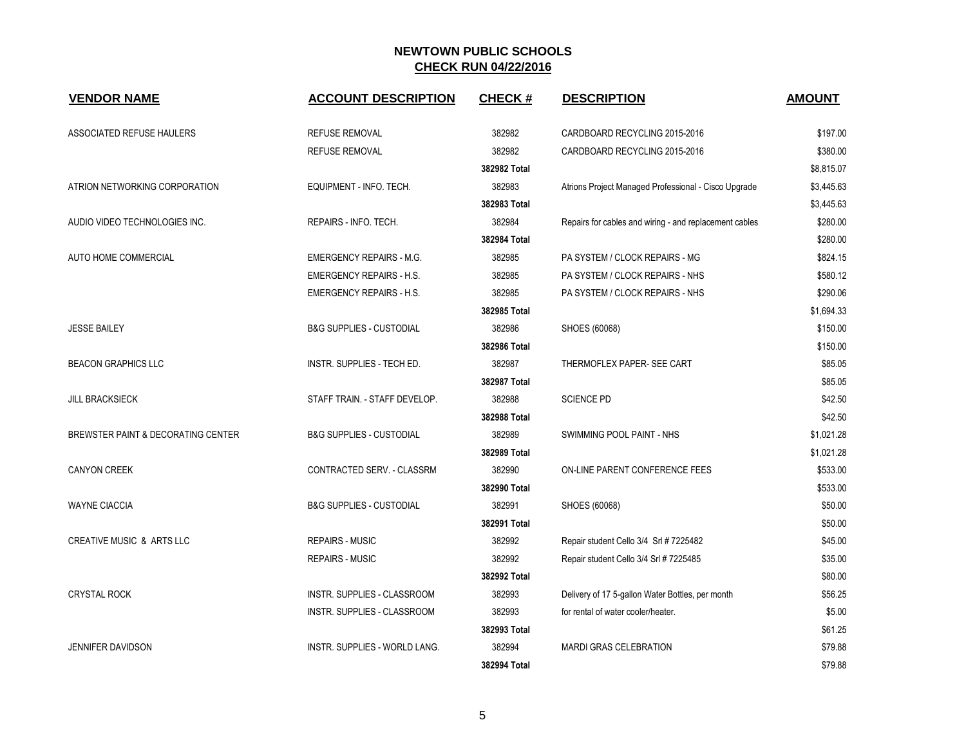| <b>VENDOR NAME</b>                 | <b>ACCOUNT DESCRIPTION</b>           | <b>CHECK#</b> | <b>DESCRIPTION</b>                                     | <b>AMOUNT</b> |
|------------------------------------|--------------------------------------|---------------|--------------------------------------------------------|---------------|
| <b>ASSOCIATED REFUSE HAULERS</b>   | <b>REFUSE REMOVAL</b>                | 382982        | CARDBOARD RECYCLING 2015-2016                          | \$197.00      |
|                                    | <b>REFUSE REMOVAL</b>                | 382982        | CARDBOARD RECYCLING 2015-2016                          | \$380.00      |
|                                    |                                      | 382982 Total  |                                                        | \$8,815.07    |
| ATRION NETWORKING CORPORATION      | EQUIPMENT - INFO. TECH.              | 382983        | Atrions Project Managed Professional - Cisco Upgrade   | \$3,445.63    |
|                                    |                                      | 382983 Total  |                                                        | \$3,445.63    |
| AUDIO VIDEO TECHNOLOGIES INC.      | REPAIRS - INFO. TECH.                | 382984        | Repairs for cables and wiring - and replacement cables | \$280.00      |
|                                    |                                      | 382984 Total  |                                                        | \$280.00      |
| AUTO HOME COMMERCIAL               | <b>EMERGENCY REPAIRS - M.G.</b>      | 382985        | PA SYSTEM / CLOCK REPAIRS - MG                         | \$824.15      |
|                                    | <b>EMERGENCY REPAIRS - H.S.</b>      | 382985        | PA SYSTEM / CLOCK REPAIRS - NHS                        | \$580.12      |
|                                    | <b>EMERGENCY REPAIRS - H.S.</b>      | 382985        | PA SYSTEM / CLOCK REPAIRS - NHS                        | \$290.06      |
|                                    |                                      | 382985 Total  |                                                        | \$1,694.33    |
| <b>JESSE BAILEY</b>                | <b>B&amp;G SUPPLIES - CUSTODIAL</b>  | 382986        | SHOES (60068)                                          | \$150.00      |
|                                    |                                      | 382986 Total  |                                                        | \$150.00      |
| <b>BEACON GRAPHICS LLC</b>         | INSTR. SUPPLIES - TECH ED.           | 382987        | THERMOFLEX PAPER- SEE CART                             | \$85.05       |
|                                    |                                      | 382987 Total  |                                                        | \$85.05       |
| <b>JILL BRACKSIECK</b>             | STAFF TRAIN. - STAFF DEVELOP.        | 382988        | <b>SCIENCE PD</b>                                      | \$42.50       |
|                                    |                                      | 382988 Total  |                                                        | \$42.50       |
| BREWSTER PAINT & DECORATING CENTER | <b>B&amp;G SUPPLIES - CUSTODIAL</b>  | 382989        | SWIMMING POOL PAINT - NHS                              | \$1,021.28    |
|                                    |                                      | 382989 Total  |                                                        | \$1,021.28    |
| <b>CANYON CREEK</b>                | CONTRACTED SERV. - CLASSRM           | 382990        | ON-LINE PARENT CONFERENCE FEES                         | \$533.00      |
|                                    |                                      | 382990 Total  |                                                        | \$533.00      |
| <b>WAYNE CIACCIA</b>               | <b>B&amp;G SUPPLIES - CUSTODIAL</b>  | 382991        | SHOES (60068)                                          | \$50.00       |
|                                    |                                      | 382991 Total  |                                                        | \$50.00       |
| CREATIVE MUSIC & ARTS LLC          | <b>REPAIRS - MUSIC</b>               | 382992        | Repair student Cello 3/4 Srl # 7225482                 | \$45.00       |
|                                    | <b>REPAIRS - MUSIC</b>               | 382992        | Repair student Cello 3/4 Srl # 7225485                 | \$35.00       |
|                                    |                                      | 382992 Total  |                                                        | \$80.00       |
| <b>CRYSTAL ROCK</b>                | INSTR. SUPPLIES - CLASSROOM          | 382993        | Delivery of 17 5-gallon Water Bottles, per month       | \$56.25       |
|                                    | INSTR. SUPPLIES - CLASSROOM          | 382993        | for rental of water cooler/heater.                     | \$5.00        |
|                                    |                                      | 382993 Total  |                                                        | \$61.25       |
| <b>JENNIFER DAVIDSON</b>           | <b>INSTR. SUPPLIES - WORLD LANG.</b> | 382994        | <b>MARDI GRAS CELEBRATION</b>                          | \$79.88       |
|                                    |                                      | 382994 Total  |                                                        | \$79.88       |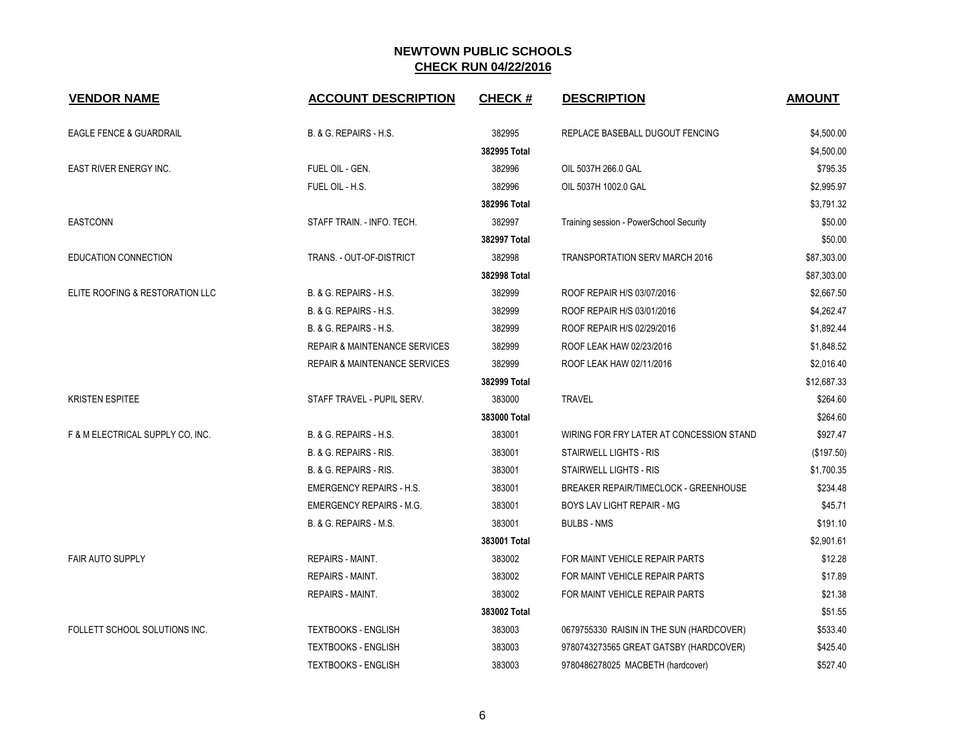| <b>VENDOR NAME</b>               | <b>ACCOUNT DESCRIPTION</b>               | <b>CHECK#</b> | <b>DESCRIPTION</b>                           | <b>AMOUNT</b> |
|----------------------------------|------------------------------------------|---------------|----------------------------------------------|---------------|
| EAGLE FENCE & GUARDRAIL          | B. & G. REPAIRS - H.S.                   | 382995        | REPLACE BASEBALL DUGOUT FENCING              | \$4,500.00    |
|                                  |                                          | 382995 Total  |                                              | \$4,500.00    |
| <b>EAST RIVER ENERGY INC.</b>    | FUEL OIL - GEN.                          | 382996        | OIL 5037H 266.0 GAL                          | \$795.35      |
|                                  | FUEL OIL - H.S.                          | 382996        | OIL 5037H 1002.0 GAL                         | \$2,995.97    |
|                                  |                                          | 382996 Total  |                                              | \$3,791.32    |
| <b>EASTCONN</b>                  | STAFF TRAIN. - INFO. TECH.               | 382997        | Training session - PowerSchool Security      | \$50.00       |
|                                  |                                          | 382997 Total  |                                              | \$50.00       |
| <b>EDUCATION CONNECTION</b>      | TRANS. - OUT-OF-DISTRICT                 | 382998        | <b>TRANSPORTATION SERV MARCH 2016</b>        | \$87,303.00   |
|                                  |                                          | 382998 Total  |                                              | \$87,303.00   |
| ELITE ROOFING & RESTORATION LLC  | B. & G. REPAIRS - H.S.                   | 382999        | ROOF REPAIR H/S 03/07/2016                   | \$2,667.50    |
|                                  | B. & G. REPAIRS - H.S.                   | 382999        | ROOF REPAIR H/S 03/01/2016                   | \$4,262.47    |
|                                  | B. & G. REPAIRS - H.S.                   | 382999        | ROOF REPAIR H/S 02/29/2016                   | \$1,892.44    |
|                                  | <b>REPAIR &amp; MAINTENANCE SERVICES</b> | 382999        | ROOF LEAK HAW 02/23/2016                     | \$1,848.52    |
|                                  | <b>REPAIR &amp; MAINTENANCE SERVICES</b> | 382999        | ROOF LEAK HAW 02/11/2016                     | \$2,016.40    |
|                                  |                                          | 382999 Total  |                                              | \$12,687.33   |
| <b>KRISTEN ESPITEE</b>           | STAFF TRAVEL - PUPIL SERV.               | 383000        | <b>TRAVEL</b>                                | \$264.60      |
|                                  |                                          | 383000 Total  |                                              | \$264.60      |
| F & M ELECTRICAL SUPPLY CO, INC. | B. & G. REPAIRS - H.S.                   | 383001        | WIRING FOR FRY LATER AT CONCESSION STAND     | \$927.47      |
|                                  | B. & G. REPAIRS - RIS.                   | 383001        | <b>STAIRWELL LIGHTS - RIS</b>                | (\$197.50)    |
|                                  | B. & G. REPAIRS - RIS.                   | 383001        | STAIRWELL LIGHTS - RIS                       | \$1,700.35    |
|                                  | <b>EMERGENCY REPAIRS - H.S.</b>          | 383001        | <b>BREAKER REPAIR/TIMECLOCK - GREENHOUSE</b> | \$234.48      |
|                                  | <b>EMERGENCY REPAIRS - M.G.</b>          | 383001        | BOYS LAV LIGHT REPAIR - MG                   | \$45.71       |
|                                  | B. & G. REPAIRS - M.S.                   | 383001        | <b>BULBS - NMS</b>                           | \$191.10      |
|                                  |                                          | 383001 Total  |                                              | \$2,901.61    |
| <b>FAIR AUTO SUPPLY</b>          | <b>REPAIRS - MAINT.</b>                  | 383002        | FOR MAINT VEHICLE REPAIR PARTS               | \$12.28       |
|                                  | <b>REPAIRS - MAINT.</b>                  | 383002        | FOR MAINT VEHICLE REPAIR PARTS               | \$17.89       |
|                                  | <b>REPAIRS - MAINT.</b>                  | 383002        | FOR MAINT VEHICLE REPAIR PARTS               | \$21.38       |
|                                  |                                          | 383002 Total  |                                              | \$51.55       |
| FOLLETT SCHOOL SOLUTIONS INC.    | <b>TEXTBOOKS - ENGLISH</b>               | 383003        | 0679755330 RAISIN IN THE SUN (HARDCOVER)     | \$533.40      |
|                                  | <b>TEXTBOOKS - ENGLISH</b>               | 383003        | 9780743273565 GREAT GATSBY (HARDCOVER)       | \$425.40      |
|                                  | <b>TEXTBOOKS - ENGLISH</b>               | 383003        | 9780486278025 MACBETH (hardcover)            | \$527.40      |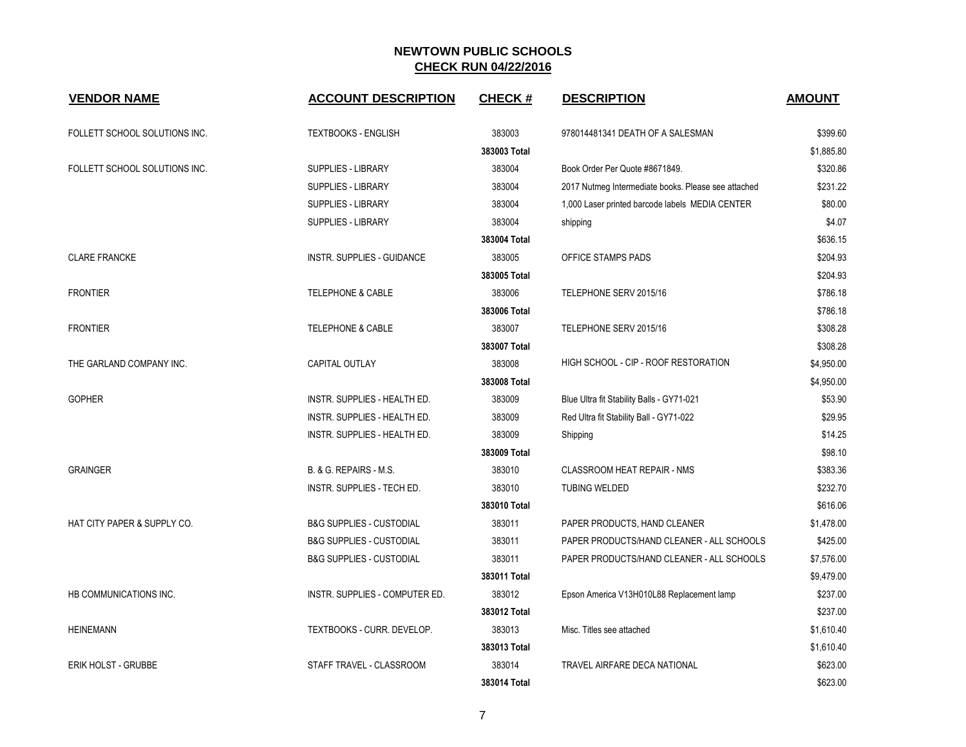| <b>VENDOR NAME</b>            | <b>ACCOUNT DESCRIPTION</b>          | <b>CHECK#</b> | <b>DESCRIPTION</b>                                  | <b>AMOUNT</b> |
|-------------------------------|-------------------------------------|---------------|-----------------------------------------------------|---------------|
| FOLLETT SCHOOL SOLUTIONS INC. | <b>TEXTBOOKS - ENGLISH</b>          | 383003        | 978014481341 DEATH OF A SALESMAN                    | \$399.60      |
|                               |                                     | 383003 Total  |                                                     | \$1,885.80    |
| FOLLETT SCHOOL SOLUTIONS INC. | SUPPLIES - LIBRARY                  | 383004        | Book Order Per Quote #8671849.                      | \$320.86      |
|                               | SUPPLIES - LIBRARY                  | 383004        | 2017 Nutmeg Intermediate books. Please see attached | \$231.22      |
|                               | <b>SUPPLIES - LIBRARY</b>           | 383004        | 1,000 Laser printed barcode labels MEDIA CENTER     | \$80.00       |
|                               | SUPPLIES - LIBRARY                  | 383004        | shipping                                            | \$4.07        |
|                               |                                     | 383004 Total  |                                                     | \$636.15      |
| <b>CLARE FRANCKE</b>          | INSTR. SUPPLIES - GUIDANCE          | 383005        | OFFICE STAMPS PADS                                  | \$204.93      |
|                               |                                     | 383005 Total  |                                                     | \$204.93      |
| <b>FRONTIER</b>               | <b>TELEPHONE &amp; CABLE</b>        | 383006        | TELEPHONE SERV 2015/16                              | \$786.18      |
|                               |                                     | 383006 Total  |                                                     | \$786.18      |
| <b>FRONTIER</b>               | <b>TELEPHONE &amp; CABLE</b>        | 383007        | TELEPHONE SERV 2015/16                              | \$308.28      |
|                               |                                     | 383007 Total  |                                                     | \$308.28      |
| THE GARLAND COMPANY INC.      | CAPITAL OUTLAY                      | 383008        | HIGH SCHOOL - CIP - ROOF RESTORATION                | \$4,950.00    |
|                               |                                     | 383008 Total  |                                                     | \$4,950.00    |
| <b>GOPHER</b>                 | INSTR. SUPPLIES - HEALTH ED.        | 383009        | Blue Ultra fit Stability Balls - GY71-021           | \$53.90       |
|                               | INSTR. SUPPLIES - HEALTH ED.        | 383009        | Red Ultra fit Stability Ball - GY71-022             | \$29.95       |
|                               | INSTR. SUPPLIES - HEALTH ED.        | 383009        | Shipping                                            | \$14.25       |
|                               |                                     | 383009 Total  |                                                     | \$98.10       |
| <b>GRAINGER</b>               | B. & G. REPAIRS - M.S.              | 383010        | <b>CLASSROOM HEAT REPAIR - NMS</b>                  | \$383.36      |
|                               | INSTR. SUPPLIES - TECH ED.          | 383010        | <b>TUBING WELDED</b>                                | \$232.70      |
|                               |                                     | 383010 Total  |                                                     | \$616.06      |
| HAT CITY PAPER & SUPPLY CO.   | <b>B&amp;G SUPPLIES - CUSTODIAL</b> | 383011        | PAPER PRODUCTS, HAND CLEANER                        | \$1,478.00    |
|                               | <b>B&amp;G SUPPLIES - CUSTODIAL</b> | 383011        | PAPER PRODUCTS/HAND CLEANER - ALL SCHOOLS           | \$425.00      |
|                               | <b>B&amp;G SUPPLIES - CUSTODIAL</b> | 383011        | PAPER PRODUCTS/HAND CLEANER - ALL SCHOOLS           | \$7,576.00    |
|                               |                                     | 383011 Total  |                                                     | \$9,479.00    |
| HB COMMUNICATIONS INC.        | INSTR. SUPPLIES - COMPUTER ED.      | 383012        | Epson America V13H010L88 Replacement lamp           | \$237.00      |
|                               |                                     | 383012 Total  |                                                     | \$237.00      |
| <b>HEINEMANN</b>              | TEXTBOOKS - CURR. DEVELOP.          | 383013        | Misc. Titles see attached                           | \$1,610.40    |
|                               |                                     | 383013 Total  |                                                     | \$1,610.40    |
| <b>ERIK HOLST - GRUBBE</b>    | STAFF TRAVEL - CLASSROOM            | 383014        | TRAVEL AIRFARE DECA NATIONAL                        | \$623.00      |
|                               |                                     | 383014 Total  |                                                     | \$623.00      |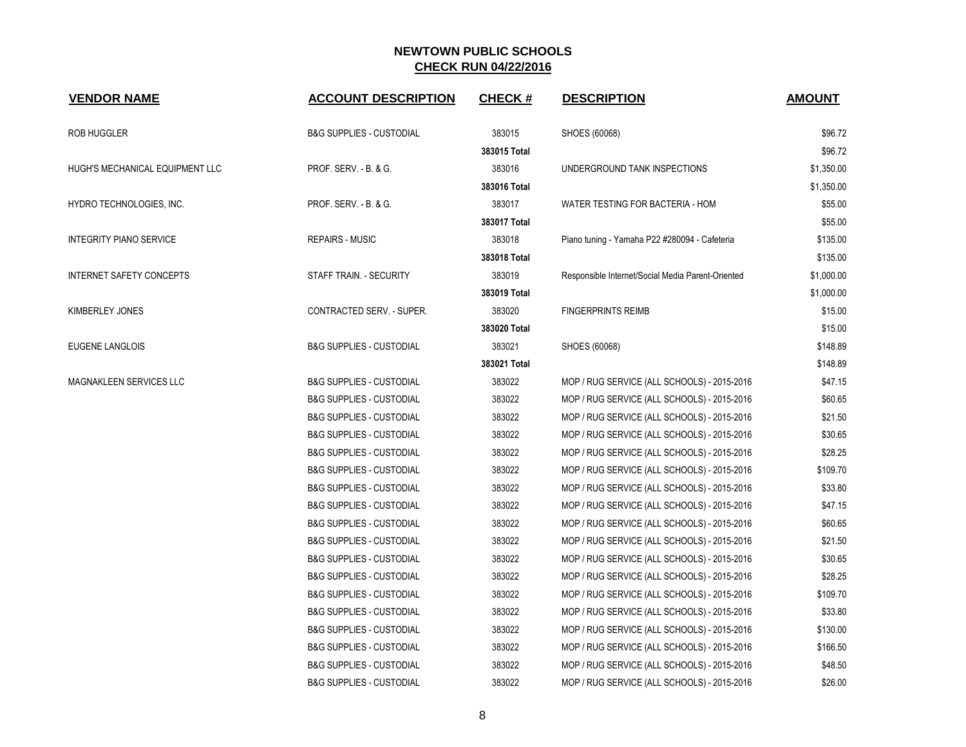| <b>VENDOR NAME</b>              | <b>ACCOUNT DESCRIPTION</b>          | <b>CHECK#</b> | <b>DESCRIPTION</b>                                | <b>AMOUNT</b> |
|---------------------------------|-------------------------------------|---------------|---------------------------------------------------|---------------|
| ROB HUGGLER                     | <b>B&amp;G SUPPLIES - CUSTODIAL</b> | 383015        | SHOES (60068)                                     | \$96.72       |
|                                 |                                     | 383015 Total  |                                                   | \$96.72       |
| HUGH'S MECHANICAL EQUIPMENT LLC | PROF. SERV. - B. & G.               | 383016        | UNDERGROUND TANK INSPECTIONS                      | \$1,350.00    |
|                                 |                                     | 383016 Total  |                                                   | \$1,350.00    |
| HYDRO TECHNOLOGIES, INC.        | PROF. SERV. - B. & G.               | 383017        | WATER TESTING FOR BACTERIA - HOM                  | \$55.00       |
|                                 |                                     | 383017 Total  |                                                   | \$55.00       |
| <b>INTEGRITY PIANO SERVICE</b>  | <b>REPAIRS - MUSIC</b>              | 383018        | Piano tuning - Yamaha P22 #280094 - Cafeteria     | \$135.00      |
|                                 |                                     | 383018 Total  |                                                   | \$135.00      |
| <b>INTERNET SAFETY CONCEPTS</b> | STAFF TRAIN. - SECURITY             | 383019        | Responsible Internet/Social Media Parent-Oriented | \$1,000.00    |
|                                 |                                     | 383019 Total  |                                                   | \$1,000.00    |
| KIMBERLEY JONES                 | CONTRACTED SERV. - SUPER.           | 383020        | <b>FINGERPRINTS REIMB</b>                         | \$15.00       |
|                                 |                                     | 383020 Total  |                                                   | \$15.00       |
| EUGENE LANGLOIS                 | <b>B&amp;G SUPPLIES - CUSTODIAL</b> | 383021        | SHOES (60068)                                     | \$148.89      |
|                                 |                                     | 383021 Total  |                                                   | \$148.89      |
| MAGNAKLEEN SERVICES LLC         | <b>B&amp;G SUPPLIES - CUSTODIAL</b> | 383022        | MOP / RUG SERVICE (ALL SCHOOLS) - 2015-2016       | \$47.15       |
|                                 | <b>B&amp;G SUPPLIES - CUSTODIAL</b> | 383022        | MOP / RUG SERVICE (ALL SCHOOLS) - 2015-2016       | \$60.65       |
|                                 | <b>B&amp;G SUPPLIES - CUSTODIAL</b> | 383022        | MOP / RUG SERVICE (ALL SCHOOLS) - 2015-2016       | \$21.50       |
|                                 | <b>B&amp;G SUPPLIES - CUSTODIAL</b> | 383022        | MOP / RUG SERVICE (ALL SCHOOLS) - 2015-2016       | \$30.65       |
|                                 | <b>B&amp;G SUPPLIES - CUSTODIAL</b> | 383022        | MOP / RUG SERVICE (ALL SCHOOLS) - 2015-2016       | \$28.25       |
|                                 | <b>B&amp;G SUPPLIES - CUSTODIAL</b> | 383022        | MOP / RUG SERVICE (ALL SCHOOLS) - 2015-2016       | \$109.70      |
|                                 | <b>B&amp;G SUPPLIES - CUSTODIAL</b> | 383022        | MOP / RUG SERVICE (ALL SCHOOLS) - 2015-2016       | \$33.80       |
|                                 | <b>B&amp;G SUPPLIES - CUSTODIAL</b> | 383022        | MOP / RUG SERVICE (ALL SCHOOLS) - 2015-2016       | \$47.15       |
|                                 | <b>B&amp;G SUPPLIES - CUSTODIAL</b> | 383022        | MOP / RUG SERVICE (ALL SCHOOLS) - 2015-2016       | \$60.65       |
|                                 | <b>B&amp;G SUPPLIES - CUSTODIAL</b> | 383022        | MOP / RUG SERVICE (ALL SCHOOLS) - 2015-2016       | \$21.50       |
|                                 | <b>B&amp;G SUPPLIES - CUSTODIAL</b> | 383022        | MOP / RUG SERVICE (ALL SCHOOLS) - 2015-2016       | \$30.65       |
|                                 | <b>B&amp;G SUPPLIES - CUSTODIAL</b> | 383022        | MOP / RUG SERVICE (ALL SCHOOLS) - 2015-2016       | \$28.25       |
|                                 | <b>B&amp;G SUPPLIES - CUSTODIAL</b> | 383022        | MOP / RUG SERVICE (ALL SCHOOLS) - 2015-2016       | \$109.70      |
|                                 | <b>B&amp;G SUPPLIES - CUSTODIAL</b> | 383022        | MOP / RUG SERVICE (ALL SCHOOLS) - 2015-2016       | \$33.80       |
|                                 | <b>B&amp;G SUPPLIES - CUSTODIAL</b> | 383022        | MOP / RUG SERVICE (ALL SCHOOLS) - 2015-2016       | \$130.00      |
|                                 | <b>B&amp;G SUPPLIES - CUSTODIAL</b> | 383022        | MOP / RUG SERVICE (ALL SCHOOLS) - 2015-2016       | \$166.50      |
|                                 | <b>B&amp;G SUPPLIES - CUSTODIAL</b> | 383022        | MOP / RUG SERVICE (ALL SCHOOLS) - 2015-2016       | \$48.50       |
|                                 | <b>B&amp;G SUPPLIES - CUSTODIAL</b> | 383022        | MOP / RUG SERVICE (ALL SCHOOLS) - 2015-2016       | \$26.00       |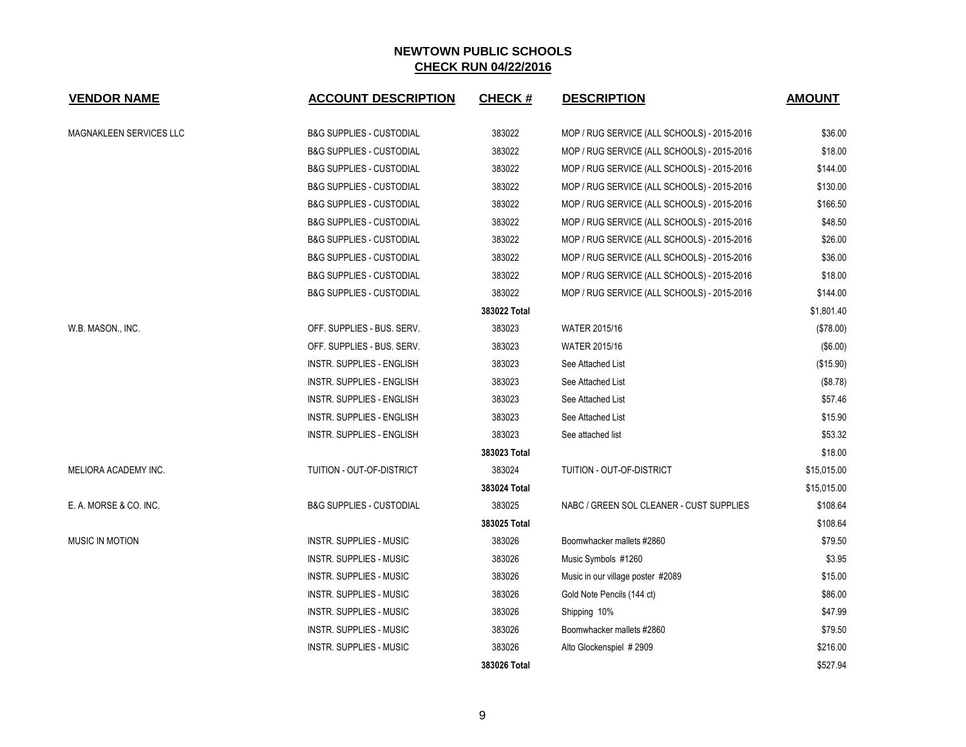| <b>VENDOR NAME</b>      | <b>ACCOUNT DESCRIPTION</b>          | <b>CHECK#</b> | <b>DESCRIPTION</b>                          | <b>AMOUNT</b> |
|-------------------------|-------------------------------------|---------------|---------------------------------------------|---------------|
| MAGNAKLEEN SERVICES LLC | <b>B&amp;G SUPPLIES - CUSTODIAL</b> | 383022        | MOP / RUG SERVICE (ALL SCHOOLS) - 2015-2016 | \$36.00       |
|                         | <b>B&amp;G SUPPLIES - CUSTODIAL</b> | 383022        | MOP / RUG SERVICE (ALL SCHOOLS) - 2015-2016 | \$18.00       |
|                         | <b>B&amp;G SUPPLIES - CUSTODIAL</b> | 383022        | MOP / RUG SERVICE (ALL SCHOOLS) - 2015-2016 | \$144.00      |
|                         | <b>B&amp;G SUPPLIES - CUSTODIAL</b> | 383022        | MOP / RUG SERVICE (ALL SCHOOLS) - 2015-2016 | \$130.00      |
|                         | <b>B&amp;G SUPPLIES - CUSTODIAL</b> | 383022        | MOP / RUG SERVICE (ALL SCHOOLS) - 2015-2016 | \$166.50      |
|                         | <b>B&amp;G SUPPLIES - CUSTODIAL</b> | 383022        | MOP / RUG SERVICE (ALL SCHOOLS) - 2015-2016 | \$48.50       |
|                         | <b>B&amp;G SUPPLIES - CUSTODIAL</b> | 383022        | MOP / RUG SERVICE (ALL SCHOOLS) - 2015-2016 | \$26.00       |
|                         | <b>B&amp;G SUPPLIES - CUSTODIAL</b> | 383022        | MOP / RUG SERVICE (ALL SCHOOLS) - 2015-2016 | \$36.00       |
|                         | <b>B&amp;G SUPPLIES - CUSTODIAL</b> | 383022        | MOP / RUG SERVICE (ALL SCHOOLS) - 2015-2016 | \$18.00       |
|                         | <b>B&amp;G SUPPLIES - CUSTODIAL</b> | 383022        | MOP / RUG SERVICE (ALL SCHOOLS) - 2015-2016 | \$144.00      |
|                         |                                     | 383022 Total  |                                             | \$1,801.40    |
| W.B. MASON., INC.       | OFF. SUPPLIES - BUS. SERV.          | 383023        | <b>WATER 2015/16</b>                        | (\$78.00)     |
|                         | OFF. SUPPLIES - BUS. SERV.          | 383023        | <b>WATER 2015/16</b>                        | (\$6.00)      |
|                         | <b>INSTR. SUPPLIES - ENGLISH</b>    | 383023        | See Attached List                           | (\$15.90)     |
|                         | <b>INSTR. SUPPLIES - ENGLISH</b>    | 383023        | See Attached List                           | (\$8.78)      |
|                         | INSTR. SUPPLIES - ENGLISH           | 383023        | See Attached List                           | \$57.46       |
|                         | INSTR. SUPPLIES - ENGLISH           | 383023        | See Attached List                           | \$15.90       |
|                         | INSTR. SUPPLIES - ENGLISH           | 383023        | See attached list                           | \$53.32       |
|                         |                                     | 383023 Total  |                                             | \$18.00       |
| MELIORA ACADEMY INC.    | TUITION - OUT-OF-DISTRICT           | 383024        | TUITION - OUT-OF-DISTRICT                   | \$15,015.00   |
|                         |                                     | 383024 Total  |                                             | \$15,015.00   |
| E. A. MORSE & CO. INC.  | <b>B&amp;G SUPPLIES - CUSTODIAL</b> | 383025        | NABC / GREEN SOL CLEANER - CUST SUPPLIES    | \$108.64      |
|                         |                                     | 383025 Total  |                                             | \$108.64      |
| <b>MUSIC IN MOTION</b>  | <b>INSTR. SUPPLIES - MUSIC</b>      | 383026        | Boomwhacker mallets #2860                   | \$79.50       |
|                         | <b>INSTR. SUPPLIES - MUSIC</b>      | 383026        | Music Symbols #1260                         | \$3.95        |
|                         | <b>INSTR. SUPPLIES - MUSIC</b>      | 383026        | Music in our village poster #2089           | \$15.00       |
|                         | <b>INSTR. SUPPLIES - MUSIC</b>      | 383026        | Gold Note Pencils (144 ct)                  | \$86.00       |
|                         | <b>INSTR. SUPPLIES - MUSIC</b>      | 383026        | Shipping 10%                                | \$47.99       |
|                         | <b>INSTR. SUPPLIES - MUSIC</b>      | 383026        | Boomwhacker mallets #2860                   | \$79.50       |
|                         | <b>INSTR. SUPPLIES - MUSIC</b>      | 383026        | Alto Glockenspiel #2909                     | \$216.00      |
|                         |                                     | 383026 Total  |                                             | \$527.94      |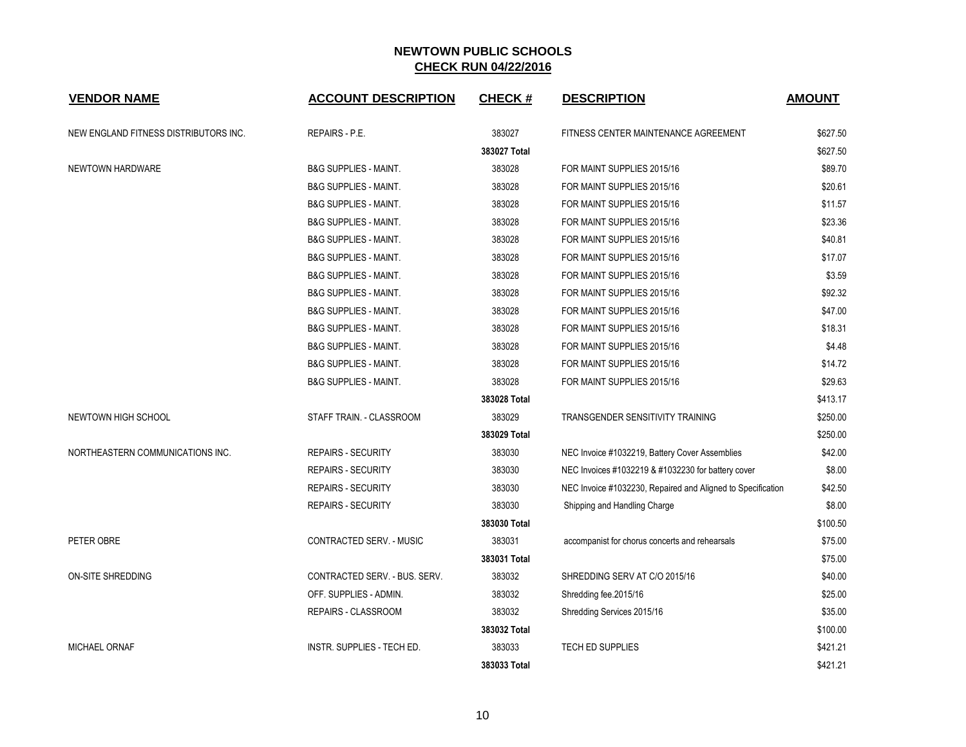| <b>VENDOR NAME</b>                    | <b>ACCOUNT DESCRIPTION</b>       | <b>CHECK#</b> | <b>DESCRIPTION</b>                                          | <b>AMOUNT</b> |
|---------------------------------------|----------------------------------|---------------|-------------------------------------------------------------|---------------|
| NEW ENGLAND FITNESS DISTRIBUTORS INC. | REPAIRS - P.E.                   | 383027        | FITNESS CENTER MAINTENANCE AGREEMENT                        | \$627.50      |
|                                       |                                  | 383027 Total  |                                                             | \$627.50      |
| NEWTOWN HARDWARE                      | <b>B&amp;G SUPPLIES - MAINT.</b> | 383028        | FOR MAINT SUPPLIES 2015/16                                  | \$89.70       |
|                                       | <b>B&amp;G SUPPLIES - MAINT.</b> | 383028        | FOR MAINT SUPPLIES 2015/16                                  | \$20.61       |
|                                       | <b>B&amp;G SUPPLIES - MAINT.</b> | 383028        | FOR MAINT SUPPLIES 2015/16                                  | \$11.57       |
|                                       | <b>B&amp;G SUPPLIES - MAINT.</b> | 383028        | FOR MAINT SUPPLIES 2015/16                                  | \$23.36       |
|                                       | <b>B&amp;G SUPPLIES - MAINT.</b> | 383028        | FOR MAINT SUPPLIES 2015/16                                  | \$40.81       |
|                                       | <b>B&amp;G SUPPLIES - MAINT.</b> | 383028        | FOR MAINT SUPPLIES 2015/16                                  | \$17.07       |
|                                       | <b>B&amp;G SUPPLIES - MAINT.</b> | 383028        | FOR MAINT SUPPLIES 2015/16                                  | \$3.59        |
|                                       | <b>B&amp;G SUPPLIES - MAINT.</b> | 383028        | FOR MAINT SUPPLIES 2015/16                                  | \$92.32       |
|                                       | <b>B&amp;G SUPPLIES - MAINT.</b> | 383028        | FOR MAINT SUPPLIES 2015/16                                  | \$47.00       |
|                                       | <b>B&amp;G SUPPLIES - MAINT.</b> | 383028        | FOR MAINT SUPPLIES 2015/16                                  | \$18.31       |
|                                       | <b>B&amp;G SUPPLIES - MAINT.</b> | 383028        | FOR MAINT SUPPLIES 2015/16                                  | \$4.48        |
|                                       | <b>B&amp;G SUPPLIES - MAINT.</b> | 383028        | FOR MAINT SUPPLIES 2015/16                                  | \$14.72       |
|                                       | B&G SUPPLIES - MAINT.            | 383028        | FOR MAINT SUPPLIES 2015/16                                  | \$29.63       |
|                                       |                                  | 383028 Total  |                                                             | \$413.17      |
| NEWTOWN HIGH SCHOOL                   | STAFF TRAIN. - CLASSROOM         | 383029        | <b>TRANSGENDER SENSITIVITY TRAINING</b>                     | \$250.00      |
|                                       |                                  | 383029 Total  |                                                             | \$250.00      |
| NORTHEASTERN COMMUNICATIONS INC.      | REPAIRS - SECURITY               | 383030        | NEC Invoice #1032219, Battery Cover Assemblies              | \$42.00       |
|                                       | <b>REPAIRS - SECURITY</b>        | 383030        | NEC Invoices #1032219 & #1032230 for battery cover          | \$8.00        |
|                                       | <b>REPAIRS - SECURITY</b>        | 383030        | NEC Invoice #1032230, Repaired and Aligned to Specification | \$42.50       |
|                                       | <b>REPAIRS - SECURITY</b>        | 383030        | Shipping and Handling Charge                                | \$8.00        |
|                                       |                                  | 383030 Total  |                                                             | \$100.50      |
| PETER OBRE                            | CONTRACTED SERV. - MUSIC         | 383031        | accompanist for chorus concerts and rehearsals              | \$75.00       |
|                                       |                                  | 383031 Total  |                                                             | \$75.00       |
| <b>ON-SITE SHREDDING</b>              | CONTRACTED SERV. - BUS. SERV.    | 383032        | SHREDDING SERV AT C/O 2015/16                               | \$40.00       |
|                                       | OFF. SUPPLIES - ADMIN.           | 383032        | Shredding fee.2015/16                                       | \$25.00       |
|                                       | REPAIRS - CLASSROOM              | 383032        | Shredding Services 2015/16                                  | \$35.00       |
|                                       |                                  | 383032 Total  |                                                             | \$100.00      |
| <b>MICHAEL ORNAF</b>                  | INSTR. SUPPLIES - TECH ED.       | 383033        | <b>TECH ED SUPPLIES</b>                                     | \$421.21      |
|                                       |                                  | 383033 Total  |                                                             | \$421.21      |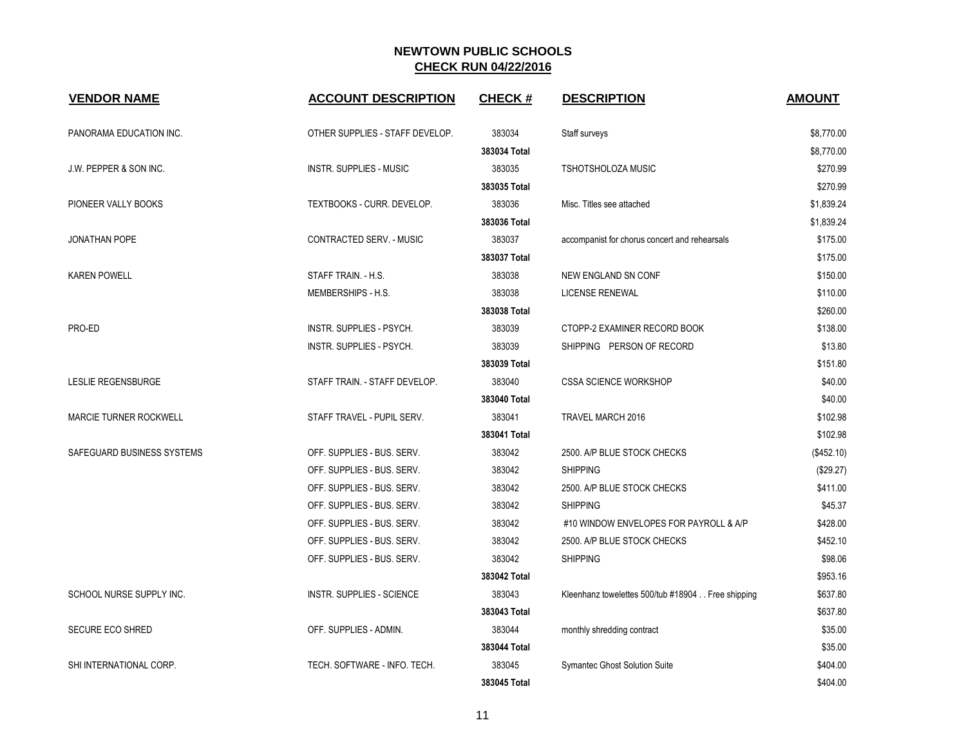| <b>VENDOR NAME</b>            | <b>ACCOUNT DESCRIPTION</b>      | <b>CHECK#</b> | <b>DESCRIPTION</b>                                | <b>AMOUNT</b> |
|-------------------------------|---------------------------------|---------------|---------------------------------------------------|---------------|
| PANORAMA EDUCATION INC.       | OTHER SUPPLIES - STAFF DEVELOP. | 383034        | Staff surveys                                     | \$8,770.00    |
|                               |                                 | 383034 Total  |                                                   | \$8,770.00    |
| J.W. PEPPER & SON INC.        | <b>INSTR. SUPPLIES - MUSIC</b>  | 383035        | TSHOTSHOLOZA MUSIC                                | \$270.99      |
|                               |                                 | 383035 Total  |                                                   | \$270.99      |
| PIONEER VALLY BOOKS           | TEXTBOOKS - CURR. DEVELOP.      | 383036        | Misc. Titles see attached                         | \$1,839.24    |
|                               |                                 | 383036 Total  |                                                   | \$1,839.24    |
| <b>JONATHAN POPE</b>          | CONTRACTED SERV. - MUSIC        | 383037        | accompanist for chorus concert and rehearsals     | \$175.00      |
|                               |                                 | 383037 Total  |                                                   | \$175.00      |
| <b>KAREN POWELL</b>           | STAFF TRAIN. - H.S.             | 383038        | NEW ENGLAND SN CONF                               | \$150.00      |
|                               | MEMBERSHIPS - H.S.              | 383038        | <b>LICENSE RENEWAL</b>                            | \$110.00      |
|                               |                                 | 383038 Total  |                                                   | \$260.00      |
| PRO-ED                        | INSTR. SUPPLIES - PSYCH.        | 383039        | CTOPP-2 EXAMINER RECORD BOOK                      | \$138.00      |
|                               | <b>INSTR. SUPPLIES - PSYCH.</b> | 383039        | SHIPPING PERSON OF RECORD                         | \$13.80       |
|                               |                                 | 383039 Total  |                                                   | \$151.80      |
| LESLIE REGENSBURGE            | STAFF TRAIN. - STAFF DEVELOP.   | 383040        | <b>CSSA SCIENCE WORKSHOP</b>                      | \$40.00       |
|                               |                                 | 383040 Total  |                                                   | \$40.00       |
| <b>MARCIE TURNER ROCKWELL</b> | STAFF TRAVEL - PUPIL SERV.      | 383041        | TRAVEL MARCH 2016                                 | \$102.98      |
|                               |                                 | 383041 Total  |                                                   | \$102.98      |
| SAFEGUARD BUSINESS SYSTEMS    | OFF. SUPPLIES - BUS. SERV.      | 383042        | 2500. A/P BLUE STOCK CHECKS                       | (\$452.10)    |
|                               | OFF. SUPPLIES - BUS. SERV.      | 383042        | <b>SHIPPING</b>                                   | (\$29.27)     |
|                               | OFF. SUPPLIES - BUS. SERV.      | 383042        | 2500. A/P BLUE STOCK CHECKS                       | \$411.00      |
|                               | OFF. SUPPLIES - BUS. SERV.      | 383042        | <b>SHIPPING</b>                                   | \$45.37       |
|                               | OFF. SUPPLIES - BUS. SERV.      | 383042        | #10 WINDOW ENVELOPES FOR PAYROLL & A/P            | \$428.00      |
|                               | OFF. SUPPLIES - BUS. SERV.      | 383042        | 2500. A/P BLUE STOCK CHECKS                       | \$452.10      |
|                               | OFF. SUPPLIES - BUS. SERV.      | 383042        | <b>SHIPPING</b>                                   | \$98.06       |
|                               |                                 | 383042 Total  |                                                   | \$953.16      |
| SCHOOL NURSE SUPPLY INC.      | INSTR. SUPPLIES - SCIENCE       | 383043        | Kleenhanz towelettes 500/tub #18904 Free shipping | \$637.80      |
|                               |                                 | 383043 Total  |                                                   | \$637.80      |
| <b>SECURE ECO SHRED</b>       | OFF. SUPPLIES - ADMIN.          | 383044        | monthly shredding contract                        | \$35.00       |
|                               |                                 | 383044 Total  |                                                   | \$35.00       |
| SHI INTERNATIONAL CORP.       | TECH. SOFTWARE - INFO. TECH.    | 383045        | <b>Symantec Ghost Solution Suite</b>              | \$404.00      |
|                               |                                 | 383045 Total  |                                                   | \$404.00      |